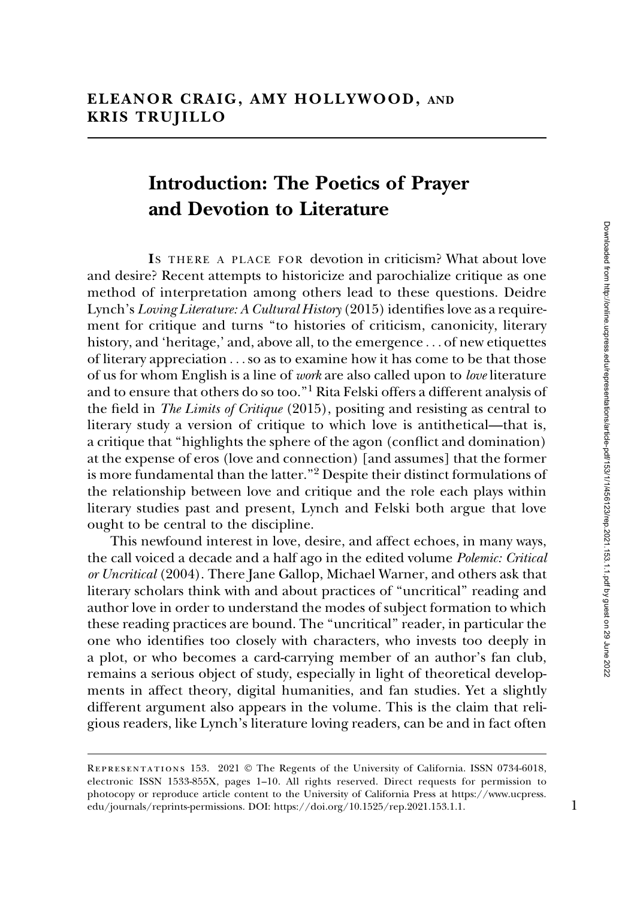## Introduction: The Poetics of Prayer and Devotion to Literature

IS THERE A PLACE FOR devotion in criticism? What about love and desire? Recent attempts to historicize and parochialize critique as one method of interpretation among others lead to these questions. Deidre Lynch's Loving Literature: A Cultural History (2015) identifies love as a requirement for critique and turns ''to histories of criticism, canonicity, literary history, and 'heritage,' and, above all, to the emergence ... of new etiquettes of literary appreciation ...so as to examine how it has come to be that those of us for whom English is a line of work are also called upon to love literature and to ensure that others do so too.''1 Rita Felski offers a different analysis of the field in The Limits of Critique (2015), positing and resisting as central to literary study a version of critique to which love is antithetical—that is, a critique that ''highlights the sphere of the agon (conflict and domination) at the expense of eros (love and connection) [and assumes] that the former is more fundamental than the latter.''<sup>2</sup> Despite their distinct formulations of the relationship between love and critique and the role each plays within literary studies past and present, Lynch and Felski both argue that love ought to be central to the discipline.

This newfound interest in love, desire, and affect echoes, in many ways, the call voiced a decade and a half ago in the edited volume Polemic: Critical or Uncritical (2004). There Jane Gallop, Michael Warner, and others ask that literary scholars think with and about practices of ''uncritical'' reading and author love in order to understand the modes of subject formation to which these reading practices are bound. The ''uncritical'' reader, in particular the one who identifies too closely with characters, who invests too deeply in a plot, or who becomes a card-carrying member of an author's fan club, remains a serious object of study, especially in light of theoretical developments in affect theory, digital humanities, and fan studies. Yet a slightly different argument also appears in the volume. This is the claim that religious readers, like Lynch's literature loving readers, can be and in fact often

Representations 153. 2021 © The Regents of the University of California. ISSN 0734-6018, electronic ISSN 1533-855X, pages 1–10. All rights reserved. Direct requests for permission to photocopy or reproduce article content to the University of California Press at [https://www.ucpress.](https://www.ucpress.edu/journals/reprints-permissions) [edu/journals/reprints-permissions](https://www.ucpress.edu/journals/reprints-permissions). [DOI: https://doi.org/10.1525/rep.2021.153.1.1.](https://doi.org/10.1525/rep.2021.153.1.1) 1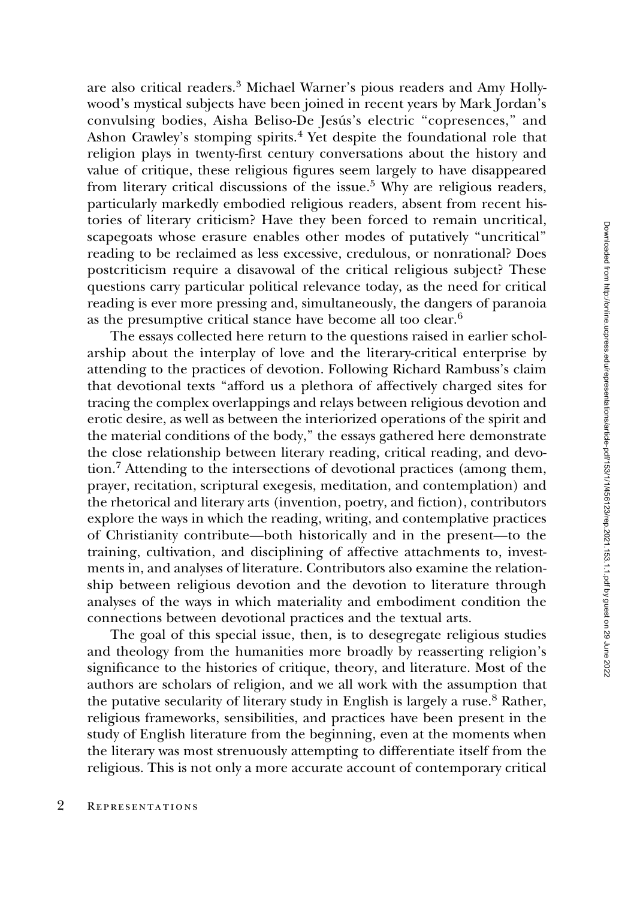are also critical readers.<sup>3</sup> Michael Warner's pious readers and Amy Hollywood's mystical subjects have been joined in recent years by Mark Jordan's convulsing bodies, Aisha Beliso-De Jesús's electric "copresences," and Ashon Crawley's stomping spirits.<sup>4</sup> Yet despite the foundational role that religion plays in twenty-first century conversations about the history and value of critique, these religious figures seem largely to have disappeared from literary critical discussions of the issue.<sup>5</sup> Why are religious readers, particularly markedly embodied religious readers, absent from recent histories of literary criticism? Have they been forced to remain uncritical, scapegoats whose erasure enables other modes of putatively ''uncritical'' reading to be reclaimed as less excessive, credulous, or nonrational? Does postcriticism require a disavowal of the critical religious subject? These questions carry particular political relevance today, as the need for critical reading is ever more pressing and, simultaneously, the dangers of paranoia as the presumptive critical stance have become all too clear.<sup>6</sup>

The essays collected here return to the questions raised in earlier scholarship about the interplay of love and the literary-critical enterprise by attending to the practices of devotion. Following Richard Rambuss's claim that devotional texts ''afford us a plethora of affectively charged sites for tracing the complex overlappings and relays between religious devotion and erotic desire, as well as between the interiorized operations of the spirit and the material conditions of the body,'' the essays gathered here demonstrate the close relationship between literary reading, critical reading, and devotion.7 Attending to the intersections of devotional practices (among them, prayer, recitation, scriptural exegesis, meditation, and contemplation) and the rhetorical and literary arts (invention, poetry, and fiction), contributors explore the ways in which the reading, writing, and contemplative practices of Christianity contribute—both historically and in the present—to the training, cultivation, and disciplining of affective attachments to, investments in, and analyses of literature. Contributors also examine the relationship between religious devotion and the devotion to literature through analyses of the ways in which materiality and embodiment condition the connections between devotional practices and the textual arts.

The goal of this special issue, then, is to desegregate religious studies and theology from the humanities more broadly by reasserting religion's significance to the histories of critique, theory, and literature. Most of the authors are scholars of religion, and we all work with the assumption that the putative secularity of literary study in English is largely a ruse.<sup>8</sup> Rather, religious frameworks, sensibilities, and practices have been present in the study of English literature from the beginning, even at the moments when the literary was most strenuously attempting to differentiate itself from the religious. This is not only a more accurate account of contemporary critical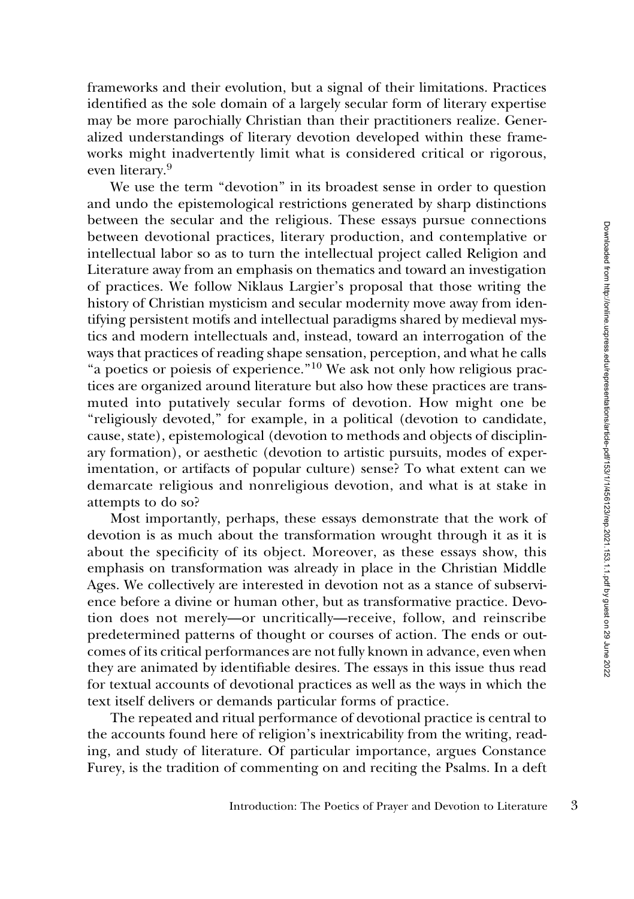frameworks and their evolution, but a signal of their limitations. Practices identified as the sole domain of a largely secular form of literary expertise may be more parochially Christian than their practitioners realize. Generalized understandings of literary devotion developed within these frameworks might inadvertently limit what is considered critical or rigorous, even literary.<sup>9</sup>

We use the term "devotion" in its broadest sense in order to question and undo the epistemological restrictions generated by sharp distinctions between the secular and the religious. These essays pursue connections between devotional practices, literary production, and contemplative or intellectual labor so as to turn the intellectual project called Religion and Literature away from an emphasis on thematics and toward an investigation of practices. We follow Niklaus Largier's proposal that those writing the history of Christian mysticism and secular modernity move away from identifying persistent motifs and intellectual paradigms shared by medieval mystics and modern intellectuals and, instead, toward an interrogation of the ways that practices of reading shape sensation, perception, and what he calls "a poetics or poiesis of experience."<sup>10</sup> We ask not only how religious practices are organized around literature but also how these practices are transmuted into putatively secular forms of devotion. How might one be ''religiously devoted,'' for example, in a political (devotion to candidate, cause, state), epistemological (devotion to methods and objects of disciplinary formation), or aesthetic (devotion to artistic pursuits, modes of experimentation, or artifacts of popular culture) sense? To what extent can we demarcate religious and nonreligious devotion, and what is at stake in attempts to do so?

Most importantly, perhaps, these essays demonstrate that the work of devotion is as much about the transformation wrought through it as it is about the specificity of its object. Moreover, as these essays show, this emphasis on transformation was already in place in the Christian Middle Ages. We collectively are interested in devotion not as a stance of subservience before a divine or human other, but as transformative practice. Devotion does not merely—or uncritically—receive, follow, and reinscribe predetermined patterns of thought or courses of action. The ends or outcomes of its critical performances are not fully known in advance, even when they are animated by identifiable desires. The essays in this issue thus read for textual accounts of devotional practices as well as the ways in which the text itself delivers or demands particular forms of practice.

The repeated and ritual performance of devotional practice is central to the accounts found here of religion's inextricability from the writing, reading, and study of literature. Of particular importance, argues Constance Furey, is the tradition of commenting on and reciting the Psalms. In a deft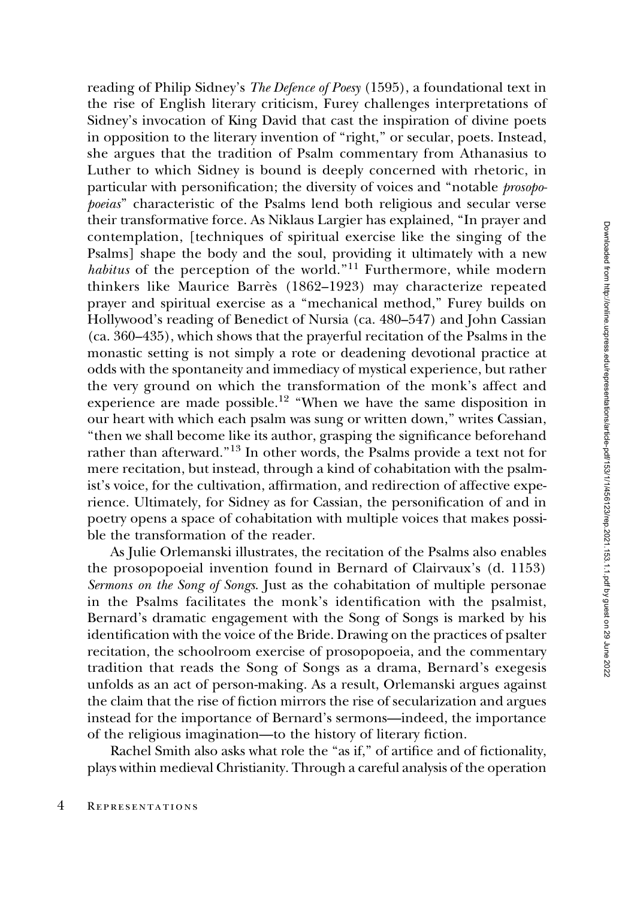reading of Philip Sidney's The Defence of Poesy (1595), a foundational text in the rise of English literary criticism, Furey challenges interpretations of Sidney's invocation of King David that cast the inspiration of divine poets in opposition to the literary invention of ''right,'' or secular, poets. Instead, she argues that the tradition of Psalm commentary from Athanasius to Luther to which Sidney is bound is deeply concerned with rhetoric, in particular with personification; the diversity of voices and ''notable prosopopoeias'' characteristic of the Psalms lend both religious and secular verse their transformative force. As Niklaus Largier has explained, ''In prayer and contemplation, [techniques of spiritual exercise like the singing of the Psalms] shape the body and the soul, providing it ultimately with a new habitus of the perception of the world."<sup>11</sup> Furthermore, while modern thinkers like Maurice Barrès (1862–1923) may characterize repeated prayer and spiritual exercise as a ''mechanical method,'' Furey builds on Hollywood's reading of Benedict of Nursia (ca. 480–547) and John Cassian (ca. 360–435), which shows that the prayerful recitation of the Psalms in the monastic setting is not simply a rote or deadening devotional practice at odds with the spontaneity and immediacy of mystical experience, but rather the very ground on which the transformation of the monk's affect and experience are made possible.<sup>12</sup> "When we have the same disposition in our heart with which each psalm was sung or written down,'' writes Cassian, ''then we shall become like its author, grasping the significance beforehand rather than afterward.''<sup>13</sup> In other words, the Psalms provide a text not for mere recitation, but instead, through a kind of cohabitation with the psalmist's voice, for the cultivation, affirmation, and redirection of affective experience. Ultimately, for Sidney as for Cassian, the personification of and in poetry opens a space of cohabitation with multiple voices that makes possible the transformation of the reader.

As Julie Orlemanski illustrates, the recitation of the Psalms also enables the prosopopoeial invention found in Bernard of Clairvaux's (d. 1153) Sermons on the Song of Songs. Just as the cohabitation of multiple personae in the Psalms facilitates the monk's identification with the psalmist, Bernard's dramatic engagement with the Song of Songs is marked by his identification with the voice of the Bride. Drawing on the practices of psalter recitation, the schoolroom exercise of prosopopoeia, and the commentary tradition that reads the Song of Songs as a drama, Bernard's exegesis unfolds as an act of person-making. As a result, Orlemanski argues against the claim that the rise of fiction mirrors the rise of secularization and argues instead for the importance of Bernard's sermons—indeed, the importance of the religious imagination—to the history of literary fiction.

Rachel Smith also asks what role the "as if," of artifice and of fictionality, plays within medieval Christianity. Through a careful analysis of the operation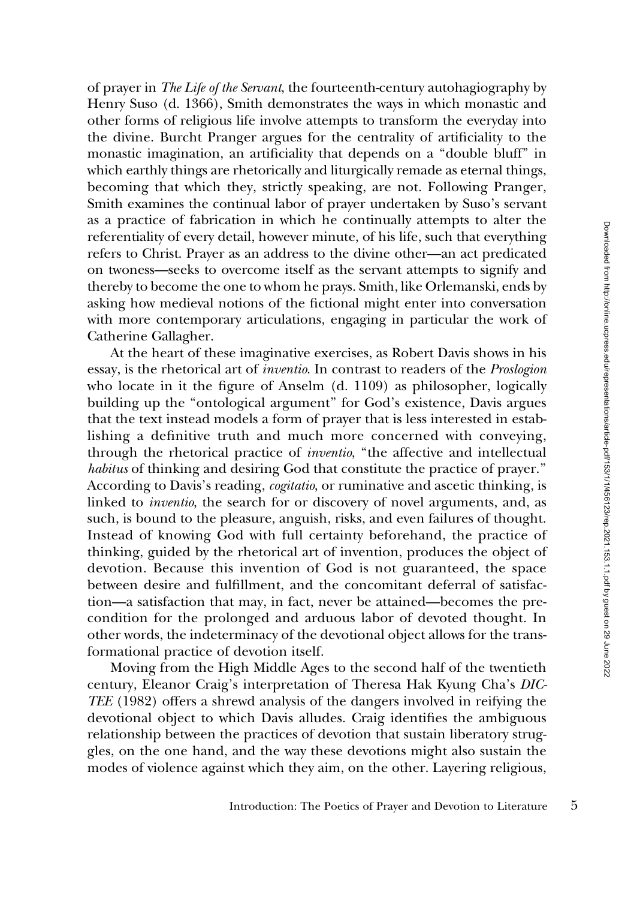of prayer in The Life of the Servant, the fourteenth-century autohagiography by Henry Suso (d. 1366), Smith demonstrates the ways in which monastic and other forms of religious life involve attempts to transform the everyday into the divine. Burcht Pranger argues for the centrality of artificiality to the monastic imagination, an artificiality that depends on a ''double bluff'' in which earthly things are rhetorically and liturgically remade as eternal things, becoming that which they, strictly speaking, are not. Following Pranger, Smith examines the continual labor of prayer undertaken by Suso's servant as a practice of fabrication in which he continually attempts to alter the referentiality of every detail, however minute, of his life, such that everything refers to Christ. Prayer as an address to the divine other—an act predicated on twoness—seeks to overcome itself as the servant attempts to signify and thereby to become the one to whom he prays. Smith, like Orlemanski, ends by asking how medieval notions of the fictional might enter into conversation with more contemporary articulations, engaging in particular the work of Catherine Gallagher.

At the heart of these imaginative exercises, as Robert Davis shows in his essay, is the rhetorical art of inventio. In contrast to readers of the Proslogion who locate in it the figure of Anselm (d. 1109) as philosopher, logically building up the ''ontological argument'' for God's existence, Davis argues that the text instead models a form of prayer that is less interested in establishing a definitive truth and much more concerned with conveying, through the rhetorical practice of *inventio*, "the affective and intellectual habitus of thinking and desiring God that constitute the practice of prayer." According to Davis's reading, cogitatio, or ruminative and ascetic thinking, is linked to inventio, the search for or discovery of novel arguments, and, as such, is bound to the pleasure, anguish, risks, and even failures of thought. Instead of knowing God with full certainty beforehand, the practice of thinking, guided by the rhetorical art of invention, produces the object of devotion. Because this invention of God is not guaranteed, the space between desire and fulfillment, and the concomitant deferral of satisfaction—a satisfaction that may, in fact, never be attained—becomes the precondition for the prolonged and arduous labor of devoted thought. In other words, the indeterminacy of the devotional object allows for the transformational practice of devotion itself.

Moving from the High Middle Ages to the second half of the twentieth century, Eleanor Craig's interpretation of Theresa Hak Kyung Cha's DIC-TEE (1982) offers a shrewd analysis of the dangers involved in reifying the devotional object to which Davis alludes. Craig identifies the ambiguous relationship between the practices of devotion that sustain liberatory struggles, on the one hand, and the way these devotions might also sustain the modes of violence against which they aim, on the other. Layering religious,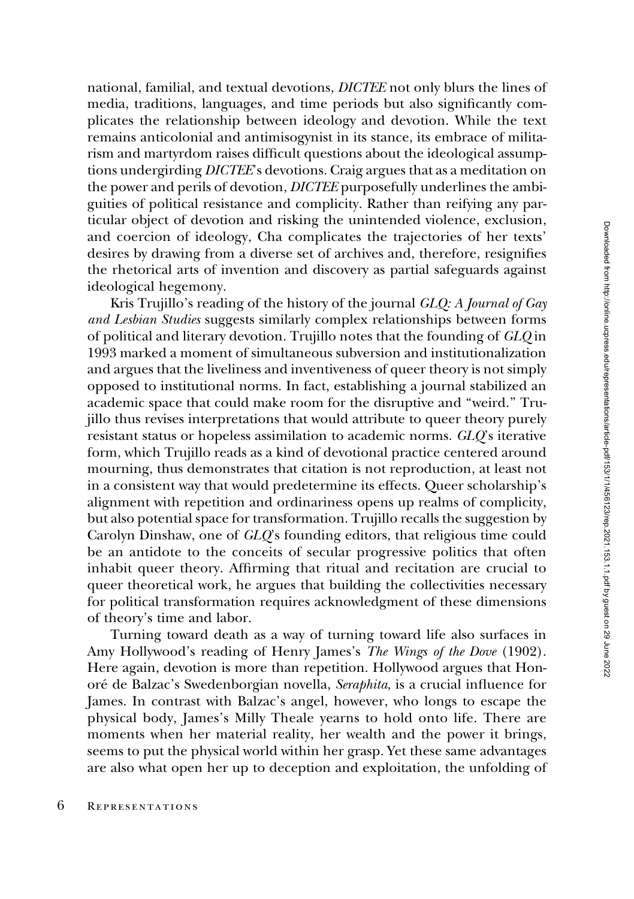national, familial, and textual devotions, DICTEE not only blurs the lines of media, traditions, languages, and time periods but also significantly complicates the relationship between ideology and devotion. While the text remains anticolonial and antimisogynist in its stance, its embrace of militarism and martyrdom raises difficult questions about the ideological assumptions undergirding DICTEE's devotions. Craig argues that as a meditation on the power and perils of devotion, DICTEE purposefully underlines the ambiguities of political resistance and complicity. Rather than reifying any particular object of devotion and risking the unintended violence, exclusion, and coercion of ideology, Cha complicates the trajectories of her texts' desires by drawing from a diverse set of archives and, therefore, resignifies the rhetorical arts of invention and discovery as partial safeguards against ideological hegemony.

Kris Trujillo's reading of the history of the journal GLQ: A Journal of Gay and Lesbian Studies suggests similarly complex relationships between forms of political and literary devotion. Trujillo notes that the founding of GLQ in 1993 marked a moment of simultaneous subversion and institutionalization and argues that the liveliness and inventiveness of queer theory is not simply opposed to institutional norms. In fact, establishing a journal stabilized an academic space that could make room for the disruptive and ''weird.'' Trujillo thus revises interpretations that would attribute to queer theory purely resistant status or hopeless assimilation to academic norms. GLQ's iterative form, which Trujillo reads as a kind of devotional practice centered around mourning, thus demonstrates that citation is not reproduction, at least not in a consistent way that would predetermine its effects. Queer scholarship's alignment with repetition and ordinariness opens up realms of complicity, but also potential space for transformation. Trujillo recalls the suggestion by Carolyn Dinshaw, one of GLQ's founding editors, that religious time could be an antidote to the conceits of secular progressive politics that often inhabit queer theory. Affirming that ritual and recitation are crucial to queer theoretical work, he argues that building the collectivities necessary for political transformation requires acknowledgment of these dimensions of theory's time and labor.

Turning toward death as a way of turning toward life also surfaces in Amy Hollywood's reading of Henry James's The Wings of the Dove (1902). Here again, devotion is more than repetition. Hollywood argues that Honoré de Balzac's Swedenborgian novella, Seraphita, is a crucial influence for James. In contrast with Balzac's angel, however, who longs to escape the physical body, James's Milly Theale yearns to hold onto life. There are moments when her material reality, her wealth and the power it brings, seems to put the physical world within her grasp. Yet these same advantages are also what open her up to deception and exploitation, the unfolding of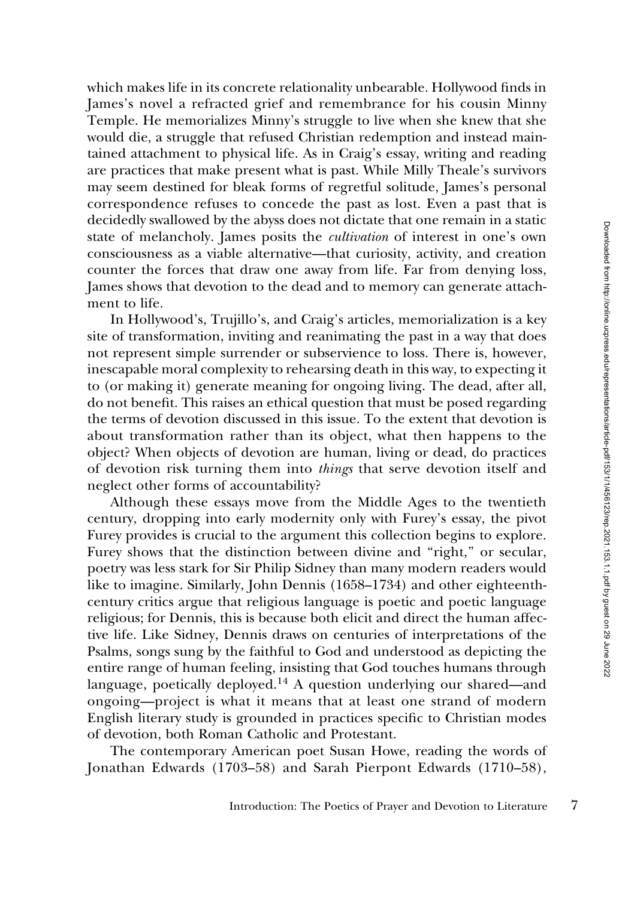which makes life in its concrete relationality unbearable. Hollywood finds in James's novel a refracted grief and remembrance for his cousin Minny Temple. He memorializes Minny's struggle to live when she knew that she would die, a struggle that refused Christian redemption and instead maintained attachment to physical life. As in Craig's essay, writing and reading are practices that make present what is past. While Milly Theale's survivors may seem destined for bleak forms of regretful solitude, James's personal correspondence refuses to concede the past as lost. Even a past that is decidedly swallowed by the abyss does not dictate that one remain in a static state of melancholy. James posits the cultivation of interest in one's own consciousness as a viable alternative—that curiosity, activity, and creation counter the forces that draw one away from life. Far from denying loss, James shows that devotion to the dead and to memory can generate attachment to life.

In Hollywood's, Trujillo's, and Craig's articles, memorialization is a key site of transformation, inviting and reanimating the past in a way that does not represent simple surrender or subservience to loss. There is, however, inescapable moral complexity to rehearsing death in this way, to expecting it to (or making it) generate meaning for ongoing living. The dead, after all, do not benefit. This raises an ethical question that must be posed regarding the terms of devotion discussed in this issue. To the extent that devotion is about transformation rather than its object, what then happens to the object? When objects of devotion are human, living or dead, do practices of devotion risk turning them into things that serve devotion itself and neglect other forms of accountability?

Although these essays move from the Middle Ages to the twentieth century, dropping into early modernity only with Furey's essay, the pivot Furey provides is crucial to the argument this collection begins to explore. Furey shows that the distinction between divine and "right," or secular, poetry was less stark for Sir Philip Sidney than many modern readers would like to imagine. Similarly, John Dennis (1658–1734) and other eighteenthcentury critics argue that religious language is poetic and poetic language religious; for Dennis, this is because both elicit and direct the human affective life. Like Sidney, Dennis draws on centuries of interpretations of the Psalms, songs sung by the faithful to God and understood as depicting the entire range of human feeling, insisting that God touches humans through language, poetically deployed.<sup>14</sup> A question underlying our shared—and ongoing—project is what it means that at least one strand of modern English literary study is grounded in practices specific to Christian modes of devotion, both Roman Catholic and Protestant.

The contemporary American poet Susan Howe, reading the words of Jonathan Edwards (1703–58) and Sarah Pierpont Edwards (1710–58),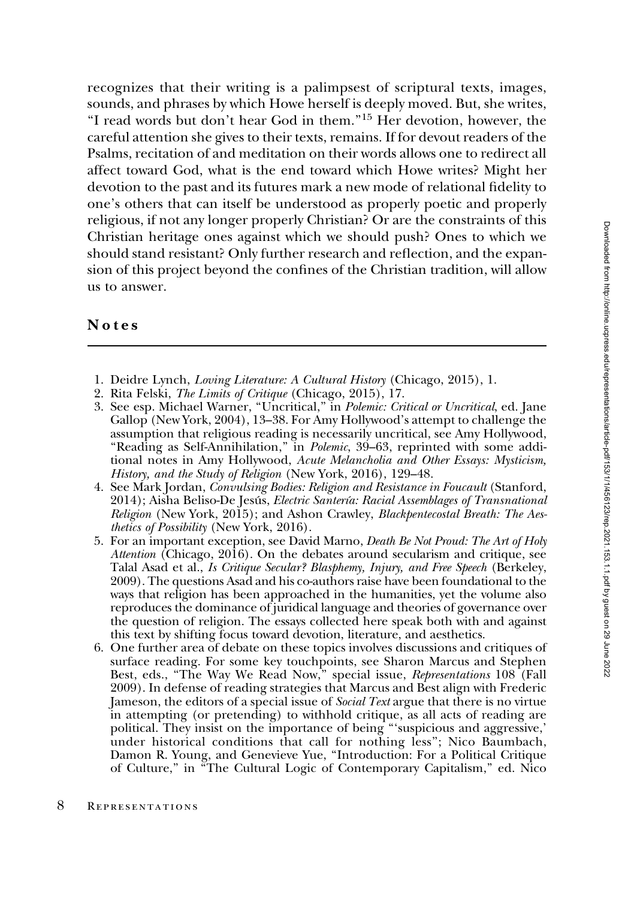recognizes that their writing is a palimpsest of scriptural texts, images, sounds, and phrases by which Howe herself is deeply moved. But, she writes, "I read words but don't hear God in them."<sup>15</sup> Her devotion, however, the careful attention she gives to their texts, remains. If for devout readers of the Psalms, recitation of and meditation on their words allows one to redirect all affect toward God, what is the end toward which Howe writes? Might her devotion to the past and its futures mark a new mode of relational fidelity to one's others that can itself be understood as properly poetic and properly religious, if not any longer properly Christian? Or are the constraints of this Christian heritage ones against which we should push? Ones to which we should stand resistant? Only further research and reflection, and the expansion of this project beyond the confines of the Christian tradition, will allow us to answer.

## Notes

- 1. Deidre Lynch, Loving Literature: A Cultural History (Chicago, 2015), 1.
- 2. Rita Felski, The Limits of Critique (Chicago, 2015), 17.
- 3. See esp. Michael Warner, "Uncritical," in Polemic: Critical or Uncritical, ed. Jane Gallop (New York, 2004), 13–38. For Amy Hollywood's attempt to challenge the assumption that religious reading is necessarily uncritical, see Amy Hollywood, "Reading as Self-Annihilation," in *Polemic*, 39–63, reprinted with some additional notes in Amy Hollywood, Acute Melancholia and Other Essays: Mysticism, History, and the Study of Religion (New York, 2016), 129–48.
- 4. See Mark Jordan, Convulsing Bodies: Religion and Resistance in Foucault (Stanford, 2014); Aisha Beliso-De Jesús, *Electric Santería: Racial Assemblages of Transnational* Religion (New York, 2015); and Ashon Crawley, Blackpentecostal Breath: The Aesthetics of Possibility (New York, 2016).
- 5. For an important exception, see David Marno, Death Be Not Proud: The Art of Holy Attention (Chicago, 2016). On the debates around secularism and critique, see Talal Asad et al., Is Critique Secular? Blasphemy, Injury, and Free Speech (Berkeley, 2009). The questions Asad and his co-authors raise have been foundational to the ways that religion has been approached in the humanities, yet the volume also reproduces the dominance of juridical language and theories of governance over the question of religion. The essays collected here speak both with and against this text by shifting focus toward devotion, literature, and aesthetics.
- 6. One further area of debate on these topics involves discussions and critiques of surface reading. For some key touchpoints, see Sharon Marcus and Stephen Best, eds., "The Way We Read Now," special issue, Representations 108 (Fall 2009). In defense of reading strategies that Marcus and Best align with Frederic Jameson, the editors of a special issue of *Social Text* argue that there is no virtue in attempting (or pretending) to withhold critique, as all acts of reading are political. They insist on the importance of being '''suspicious and aggressive,' ponded. They historical conditions that call for nothing less"; Nico Baumbach, Damon R. Young, and Genevieve Yue, ''Introduction: For a Political Critique of Culture,'' in ''The Cultural Logic of Contemporary Capitalism,'' ed. Nico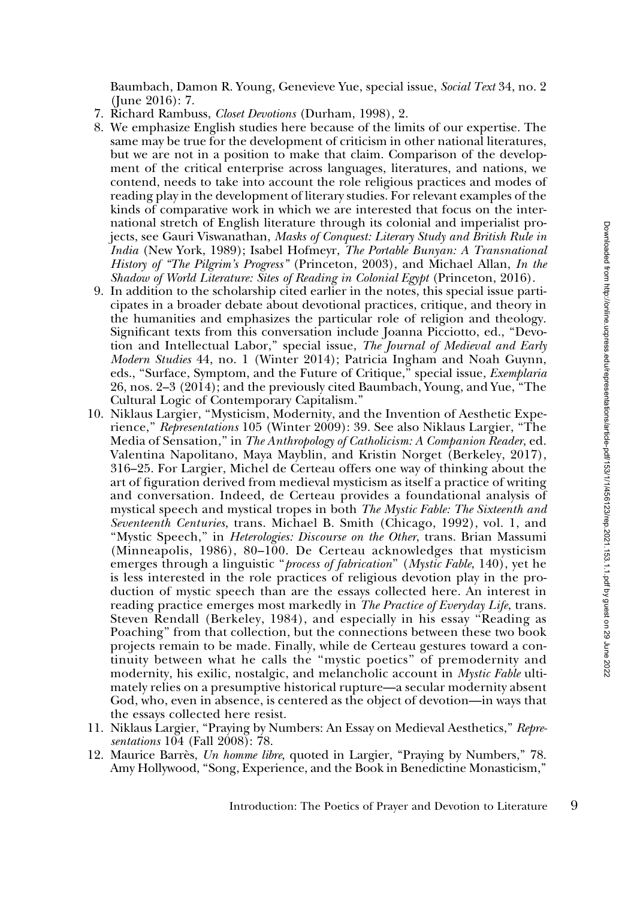Baumbach, Damon R. Young, Genevieve Yue, special issue, Social Text 34, no. 2 (June 2016): 7.

- 7. Richard Rambuss, Closet Devotions (Durham, 1998), 2.
- 8. We emphasize English studies here because of the limits of our expertise. The same may be true for the development of criticism in other national literatures, but we are not in a position to make that claim. Comparison of the development of the critical enterprise across languages, literatures, and nations, we contend, needs to take into account the role religious practices and modes of reading play in the development of literary studies. For relevant examples of the kinds of comparative work in which we are interested that focus on the international stretch of English literature through its colonial and imperialist projects, see Gauri Viswanathan, Masks of Conquest: Literary Study and British Rule in India (New York, 1989); Isabel Hofmeyr, The Portable Bunyan: A Transnational History of ''The Pilgrim's Progress'' (Princeton, 2003), and Michael Allan, In the Shadow of World Literature: Sites of Reading in Colonial Egypt (Princeton, 2016).
- 9. In addition to the scholarship cited earlier in the notes, this special issue participates in a broader debate about devotional practices, critique, and theory in the humanities and emphasizes the particular role of religion and theology. Significant texts from this conversation include Joanna Picciotto, ed., ''Devotion and Intellectual Labor,'' special issue, The Journal of Medieval and Early Modern Studies 44, no. 1 (Winter 2014); Patricia Ingham and Noah Guynn, eds., "Surface, Symptom, and the Future of Critique," special issue, *Exemplaria* 26, nos. 2–3 (2014); and the previously cited Baumbach, Young, and Yue, ''The Cultural Logic of Contemporary Capitalism.''
- 10. Niklaus Largier, ''Mysticism, Modernity, and the Invention of Aesthetic Experience,'' Representations 105 (Winter 2009): 39. See also Niklaus Largier, ''The Media of Sensation,'' in The Anthropology of Catholicism: A Companion Reader, ed. Valentina Napolitano, Maya Mayblin, and Kristin Norget (Berkeley, 2017), 316–25. For Largier, Michel de Certeau offers one way of thinking about the art of figuration derived from medieval mysticism as itself a practice of writing and conversation. Indeed, de Certeau provides a foundational analysis of mystical speech and mystical tropes in both The Mystic Fable: The Sixteenth and Seventeenth Centuries, trans. Michael B. Smith (Chicago, 1992), vol. 1, and "Mystic Speech," in *Heterologies: Discourse on the Other*, trans. Brian Massumi (Minneapolis, 1986), 80–100. De Certeau acknowledges that mysticism emerges through a linguistic "process of fabrication" (Mystic Fable, 140), yet he is less interested in the role practices of religious devotion play in the production of mystic speech than are the essays collected here. An interest in reading practice emerges most markedly in The Practice of Everyday Life, trans. Steven Rendall (Berkeley, 1984), and especially in his essay ''Reading as Poaching'' from that collection, but the connections between these two book projects remain to be made. Finally, while de Certeau gestures toward a continuity between what he calls the ''mystic poetics'' of premodernity and modernity, his exilic, nostalgic, and melancholic account in Mystic Fable ultimately relies on a presumptive historical rupture—a secular modernity absent God, who, even in absence, is centered as the object of devotion—in ways that the essays collected here resist.
- 11. Niklaus Largier, "Praying by Numbers: An Essay on Medieval Aesthetics," Representations 104 (Fall 2008): 78.
- 12. Maurice Barrès, Un homme libre, quoted in Largier, "Praying by Numbers," 78. Amy Hollywood, ''Song, Experience, and the Book in Benedictine Monasticism,''